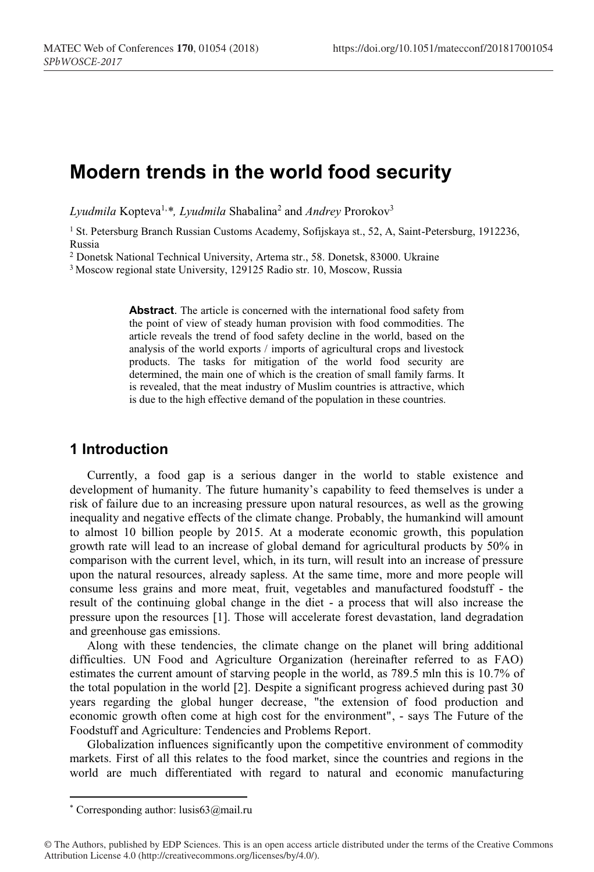# **Modern trends in the world food security**

*Lyudmila* Kopteva1, *\*, Lyudmila* Shabalina2 and *Andrey* Prorokov3

<sup>1</sup> St. Petersburg Branch Russian Customs Academy, Sofijskaya st., 52, A, Saint-Petersburg, 1912236, Russia

<sup>2</sup> Donetsk National Technical University, Artema str., 58. Donetsk, 83000. Ukraine

3 Moscow regional state University, 129125 Radio str. 10, Moscow, Russia

**Abstract**. The article is concerned with the international food safety from the point of view of steady human provision with food commodities. The article reveals the trend of food safety decline in the world, based on the analysis of the world exports / imports of agricultural crops and livestock products. The tasks for mitigation of the world food security are determined, the main one of which is the creation of small family farms. It is revealed, that the meat industry of Muslim countries is attractive, which is due to the high effective demand of the population in these countries.

#### **1 Introduction**

Currently, a food gap is a serious danger in the world to stable existence and development of humanity. The future humanity's capability to feed themselves is under a risk of failure due to an increasing pressure upon natural resources, as well as the growing inequality and negative effects of the climate change. Probably, the humankind will amount to almost 10 billion people by 2015. At a moderate economic growth, this population growth rate will lead to an increase of global demand for agricultural products by 50% in comparison with the current level, which, in its turn, will result into an increase of pressure upon the natural resources, already sapless. At the same time, more and more people will consume less grains and more meat, fruit, vegetables and manufactured foodstuff - the result of the continuing global change in the diet - a process that will also increase the pressure upon the resources [1]. Those will accelerate forest devastation, land degradation and greenhouse gas emissions.

Along with these tendencies, the climate change on the planet will bring additional difficulties. UN Food and Agriculture Organization (hereinafter referred to as FAO) estimates the current amount of starving people in the world, as 789.5 mln this is 10.7% of the total population in the world [2]. Despite a significant progress achieved during past 30 years regarding the global hunger decrease, "the extension of food production and economic growth often come at high cost for the environment", - says The Future of the Foodstuff and Agriculture: Tendencies and Problems Report.

Globalization influences significantly upon the competitive environment of commodity markets. First of all this relates to the food market, since the countries and regions in the world are much differentiated with regard to natural and economic manufacturing

 $\overline{\phantom{a}}$ 

<sup>\*</sup> Corresponding author: lusis63@mail.ru

<sup>©</sup> The Authors, published by EDP Sciences. This is an open access article distributed under the terms of the Creative Commons Attribution License 4.0 (http://creativecommons.org/licenses/by/4.0/).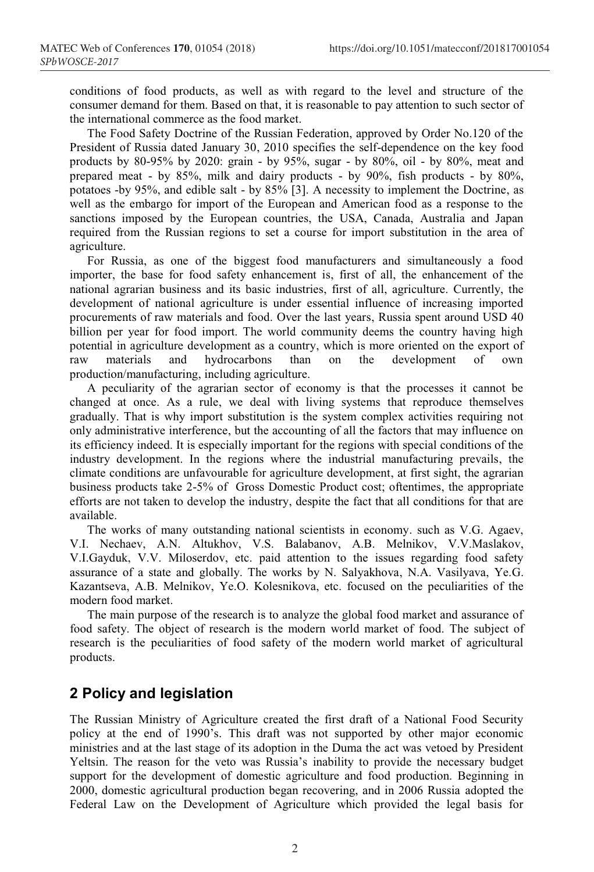conditions of food products, as well as with regard to the level and structure of the consumer demand for them. Based on that, it is reasonable to pay attention to such sector of the international commerce as the food market.

The Food Safety Doctrine of the Russian Federation, approved by Order No.120 of the President of Russia dated January 30, 2010 specifies the self-dependence on the key food products by 80-95% by 2020: grain - by 95%, sugar - by 80%, oil - by 80%, meat and prepared meat - by 85%, milk and dairy products - by 90%, fish products - by 80%, potatoes -by 95%, and edible salt - by 85% [3]. A necessity to implement the Doctrine, as well as the embargo for import of the European and American food as a response to the sanctions imposed by the European countries, the USA, Canada, Australia and Japan required from the Russian regions to set a course for import substitution in the area of agriculture.

For Russia, as one of the biggest food manufacturers and simultaneously a food importer, the base for food safety enhancement is, first of all, the enhancement of the national agrarian business and its basic industries, first of all, agriculture. Currently, the development of national agriculture is under essential influence of increasing imported procurements of raw materials and food. Over the last years, Russia spent around USD 40 billion per year for food import. The world community deems the country having high potential in agriculture development as a country, which is more oriented on the export of raw materials and hydrocarbons than on the development of own production/manufacturing, including agriculture.

A peculiarity of the agrarian sector of economy is that the processes it cannot be changed at once. As a rule, we deal with living systems that reproduce themselves gradually. That is why import substitution is the system complex activities requiring not only administrative interference, but the accounting of all the factors that may influence on its efficiency indeed. It is especially important for the regions with special conditions of the industry development. In the regions where the industrial manufacturing prevails, the climate conditions are unfavourable for agriculture development, at first sight, the agrarian business products take 2-5% of Gross Domestic Product cost; oftentimes, the appropriate efforts are not taken to develop the industry, despite the fact that all conditions for that are available.

The works of many outstanding national scientists in economy. such as V.G. Agaev, V.I. Nechaev, A.N. Altukhov, V.S. Balabanov, A.B. Melnikov, V.V.Maslakov, V.I.Gayduk, V.V. Miloserdov, etc. paid attention to the issues regarding food safety assurance of a state and globally. The works by N. Salyakhova, N.A. Vasilyava, Ye.G. Kazantseva, A.B. Melnikov, Ye.O. Kolesnikova, etc. focused on the peculiarities of the modern food market.

The main purpose of the research is to analyze the global food market and assurance of food safety. The object of research is the modern world market of food. The subject of research is the peculiarities of food safety of the modern world market of agricultural products.

## **2 Policy and legislation**

The Russian Ministry of Agriculture created the first draft of a National Food Security policy at the end of 1990's. This draft was not supported by other major economic ministries and at the last stage of its adoption in the Duma the act was vetoed by President Yeltsin. The reason for the veto was Russia's inability to provide the necessary budget support for the development of domestic agriculture and food production. Beginning in 2000, domestic agricultural production began recovering, and in 2006 Russia adopted the Federal Law on the Development of Agriculture which provided the legal basis for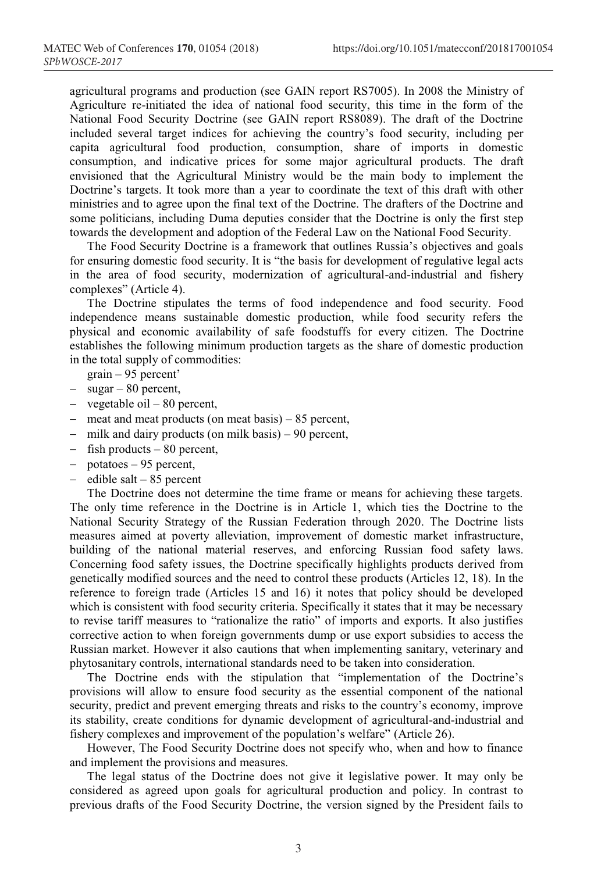agricultural programs and production (see GAIN report RS7005). In 2008 the Ministry of Agriculture re-initiated the idea of national food security, this time in the form of the National Food Security Doctrine (see GAIN report RS8089). The draft of the Doctrine included several target indices for achieving the country's food security, including per capita agricultural food production, consumption, share of imports in domestic consumption, and indicative prices for some major agricultural products. The draft envisioned that the Agricultural Ministry would be the main body to implement the Doctrine's targets. It took more than a year to coordinate the text of this draft with other ministries and to agree upon the final text of the Doctrine. The drafters of the Doctrine and some politicians, including Duma deputies consider that the Doctrine is only the first step towards the development and adoption of the Federal Law on the National Food Security.

The Food Security Doctrine is a framework that outlines Russia's objectives and goals for ensuring domestic food security. It is "the basis for development of regulative legal acts in the area of food security, modernization of agricultural-and-industrial and fishery complexes" (Article 4).

The Doctrine stipulates the terms of food independence and food security. Food independence means sustainable domestic production, while food security refers the physical and economic availability of safe foodstuffs for every citizen. The Doctrine establishes the following minimum production targets as the share of domestic production in the total supply of commodities:

- $grain 95$  percent'
- $-$  sugar 80 percent,
- $-$  vegetable oil  $-80$  percent,
- meat and meat products (on meat basis)  $85$  percent,
- $-$  milk and dairy products (on milk basis)  $-90$  percent,
- $-$  fish products  $-80$  percent,
- $-$  potatoes  $-95$  percent,
- $-$  edible salt  $-85$  percent

The Doctrine does not determine the time frame or means for achieving these targets. The only time reference in the Doctrine is in Article 1, which ties the Doctrine to the National Security Strategy of the Russian Federation through 2020. The Doctrine lists measures aimed at poverty alleviation, improvement of domestic market infrastructure, building of the national material reserves, and enforcing Russian food safety laws. Concerning food safety issues, the Doctrine specifically highlights products derived from genetically modified sources and the need to control these products (Articles 12, 18). In the reference to foreign trade (Articles 15 and 16) it notes that policy should be developed which is consistent with food security criteria. Specifically it states that it may be necessary to revise tariff measures to "rationalize the ratio" of imports and exports. It also justifies corrective action to when foreign governments dump or use export subsidies to access the Russian market. However it also cautions that when implementing sanitary, veterinary and phytosanitary controls, international standards need to be taken into consideration.

The Doctrine ends with the stipulation that "implementation of the Doctrine's provisions will allow to ensure food security as the essential component of the national security, predict and prevent emerging threats and risks to the country's economy, improve its stability, create conditions for dynamic development of agricultural-and-industrial and fishery complexes and improvement of the population's welfare" (Article 26).

However, The Food Security Doctrine does not specify who, when and how to finance and implement the provisions and measures.

The legal status of the Doctrine does not give it legislative power. It may only be considered as agreed upon goals for agricultural production and policy. In contrast to previous drafts of the Food Security Doctrine, the version signed by the President fails to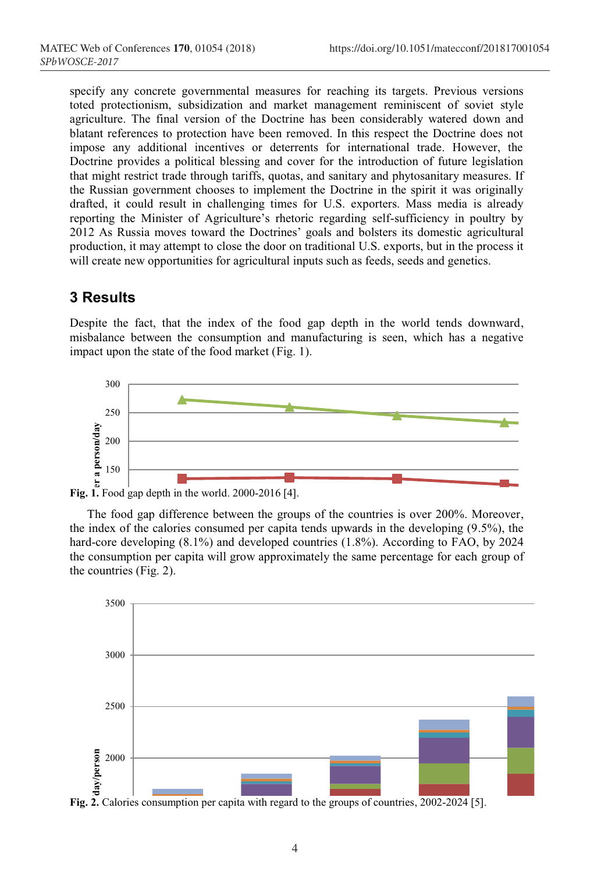specify any concrete governmental measures for reaching its targets. Previous versions toted protectionism, subsidization and market management reminiscent of soviet style agriculture. The final version of the Doctrine has been considerably watered down and blatant references to protection have been removed. In this respect the Doctrine does not impose any additional incentives or deterrents for international trade. However, the Doctrine provides a political blessing and cover for the introduction of future legislation that might restrict trade through tariffs, quotas, and sanitary and phytosanitary measures. If the Russian government chooses to implement the Doctrine in the spirit it was originally drafted, it could result in challenging times for U.S. exporters. Mass media is already reporting the Minister of Agriculture's rhetoric regarding self-sufficiency in poultry by 2012 As Russia moves toward the Doctrines' goals and bolsters its domestic agricultural production, it may attempt to close the door on traditional U.S. exports, but in the process it will create new opportunities for agricultural inputs such as feeds, seeds and genetics.

## **3 Results**

Despite the fact, that the index of the food gap depth in the world tends downward, misbalance between the consumption and manufacturing is seen, which has a negative impact upon the state of the food market (Fig. 1).



**Fig. 1.** Food gap depth in the world. 2000-2016 [4].

The food gap difference between the groups of the countries is over 200%. Moreover, the index of the calories consumed per capita tends upwards in the developing (9.5%), the hard-core developing  $(8.1\%)$  and developed countries  $(1.8\%)$ . According to FAO, by 2024 the consumption per capita will grow approximately the same percentage for each group of the countries (Fig. 2).

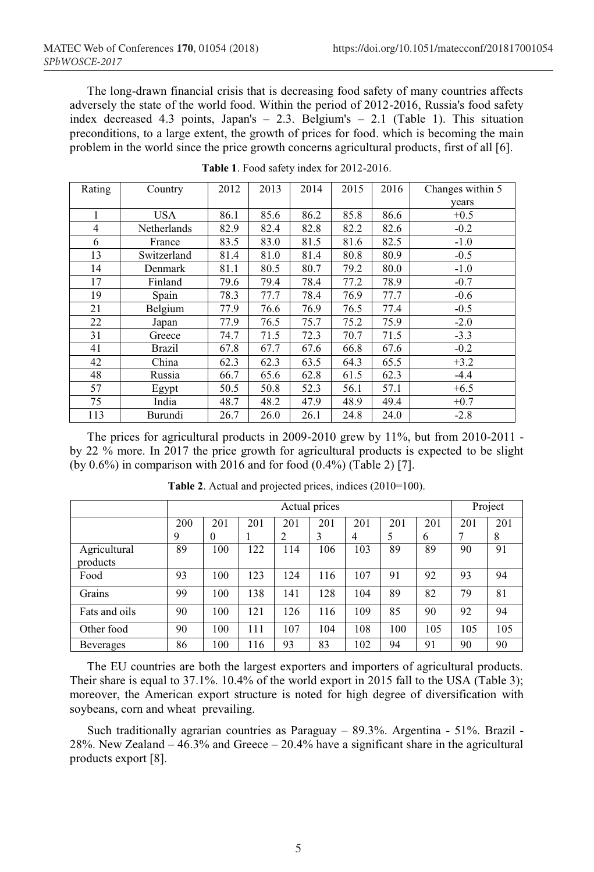The long-drawn financial crisis that is decreasing food safety of many countries affects adversely the state of the world food. Within the period of 2012-2016, Russia's food safety index decreased 4.3 points, Japan's – 2.3. Belgium's – 2.1 (Table 1). This situation preconditions, to a large extent, the growth of prices for food. which is becoming the main problem in the world since the price growth concerns agricultural products, first of all [6].

| Rating         | Country     | 2012 | 2013 | 2014 | 2015 | 2016 | Changes within 5 |
|----------------|-------------|------|------|------|------|------|------------------|
|                |             |      |      |      |      |      | years            |
| 1              | <b>USA</b>  | 86.1 | 85.6 | 86.2 | 85.8 | 86.6 | $+0.5$           |
| $\overline{4}$ | Netherlands | 82.9 | 82.4 | 82.8 | 82.2 | 82.6 | $-0.2$           |
| 6              | France      | 83.5 | 83.0 | 81.5 | 81.6 | 82.5 | $-1.0$           |
| 13             | Switzerland | 81.4 | 81.0 | 81.4 | 80.8 | 80.9 | $-0.5$           |
| 14             | Denmark     | 81.1 | 80.5 | 80.7 | 79.2 | 80.0 | $-1.0$           |
| 17             | Finland     | 79.6 | 79.4 | 78.4 | 77.2 | 78.9 | $-0.7$           |
| 19             | Spain       | 78.3 | 77.7 | 78.4 | 76.9 | 77.7 | $-0.6$           |
| 21             | Belgium     | 77.9 | 76.6 | 76.9 | 76.5 | 77.4 | $-0.5$           |
| 22             | Japan       | 77.9 | 76.5 | 75.7 | 75.2 | 75.9 | $-2.0$           |
| 31             | Greece      | 74.7 | 71.5 | 72.3 | 70.7 | 71.5 | $-3.3$           |
| 41             | Brazil      | 67.8 | 67.7 | 67.6 | 66.8 | 67.6 | $-0.2$           |
| 42             | China       | 62.3 | 62.3 | 63.5 | 64.3 | 65.5 | $+3.2$           |
| 48             | Russia      | 66.7 | 65.6 | 62.8 | 61.5 | 62.3 | $-4.4$           |
| 57             | Egypt       | 50.5 | 50.8 | 52.3 | 56.1 | 57.1 | $+6.5$           |
| 75             | India       | 48.7 | 48.2 | 47.9 | 48.9 | 49.4 | $+0.7$           |
| 113            | Burundi     | 26.7 | 26.0 | 26.1 | 24.8 | 24.0 | $-2.8$           |

**Table 1**. Food safety index for 2012-2016.

The prices for agricultural products in 2009-2010 grew by 11%, but from 2010-2011 by 22 % more. In 2017 the price growth for agricultural products is expected to be slight (by  $0.6\%$ ) in comparison with  $2016$  and for food  $(0.4\%)$  (Table 2) [7].

|                          |     | Actual prices |     |     |     |     | Project |     |     |     |
|--------------------------|-----|---------------|-----|-----|-----|-----|---------|-----|-----|-----|
|                          | 200 | 201           | 201 | 201 | 201 | 201 | 201     | 201 | 201 | 201 |
|                          | 9   | $\theta$      |     | 2   | 3   | 4   | 5       | 6   | 7   | 8   |
| Agricultural<br>products | 89  | 100           | 122 | 114 | 106 | 103 | 89      | 89  | 90  | 91  |
| Food                     | 93  | 100           | 123 | 124 | 116 | 107 | 91      | 92  | 93  | 94  |
| Grains                   | 99  | 100           | 138 | 141 | 128 | 104 | 89      | 82  | 79  | 81  |
| Fats and oils            | 90  | 100           | 121 | 126 | 116 | 109 | 85      | 90  | 92  | 94  |
| Other food               | 90  | 100           | 111 | 107 | 104 | 108 | 100     | 105 | 105 | 105 |
| <b>Beverages</b>         | 86  | 100           | 116 | 93  | 83  | 102 | 94      | 91  | 90  | 90  |

**Table 2**. Actual and projected prices, indices (2010=100).

The EU countries are both the largest exporters and importers of agricultural products. Their share is equal to 37.1%. 10.4% of the world export in 2015 fall to the USA (Table 3); moreover, the American export structure is noted for high degree of diversification with soybeans, corn and wheat prevailing.

Such traditionally agrarian countries as Paraguay – 89.3%. Argentina - 51%. Brazil - 28%. New Zealand  $-46.3\%$  and Greece  $-20.4\%$  have a significant share in the agricultural products export [8].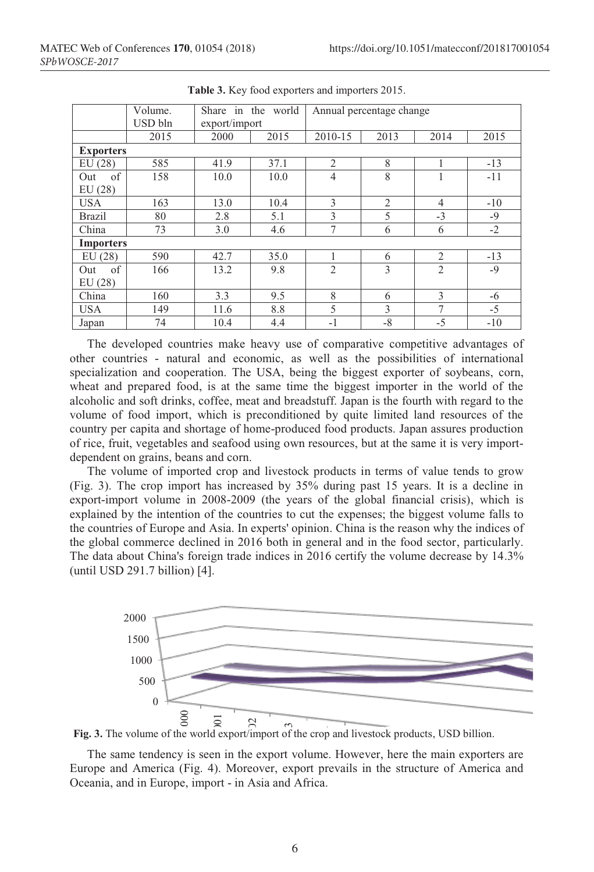|                  | Volume.<br>USD bln | Share in the world |      | Annual percentage change |                          |                |       |
|------------------|--------------------|--------------------|------|--------------------------|--------------------------|----------------|-------|
|                  |                    | export/import      |      |                          |                          |                |       |
|                  | 2015               | 2000               | 2015 | 2010-15                  | 2013                     | 2014           | 2015  |
| <b>Exporters</b> |                    |                    |      |                          |                          |                |       |
| EU(28)           | 585                | 41.9               | 37.1 | $\overline{2}$           | 8                        |                | $-13$ |
| of<br>Out        | 158                | 10.0               | 10.0 | $\overline{4}$           | 8                        |                | $-11$ |
| EU(28)           |                    |                    |      |                          |                          |                |       |
| <b>USA</b>       | 163                | 13.0               | 10.4 | 3                        | $\overline{2}$           | $\overline{4}$ | $-10$ |
| <b>Brazil</b>    | 80                 | 2.8                | 5.1  | 3                        | $\overline{\phantom{0}}$ | $-3$           | $-9$  |
| China            | 73                 | 3.0                | 4.6  | 7                        | 6                        | 6              | $-2$  |
| <b>Importers</b> |                    |                    |      |                          |                          |                |       |
| EU(28)           | 590                | 42.7               | 35.0 |                          | 6                        | $\overline{2}$ | $-13$ |
| of<br>Out        | 166                | 13.2               | 9.8  | $\overline{2}$           | 3                        | $\overline{2}$ | $-9$  |
| EU(28)           |                    |                    |      |                          |                          |                |       |
| China            | 160                | 3.3                | 9.5  | 8                        | 6                        | 3              | -6    |
| <b>USA</b>       | 149                | 11.6               | 8.8  | 5                        | 3                        | 7              | $-5$  |
| Japan            | 74                 | 10.4               | 4.4  | -1                       | $-8$                     | $-5$           | $-10$ |

**Table 3.** Key food exporters and importers 2015.

The developed countries make heavy use of comparative competitive advantages of other countries - natural and economic, as well as the possibilities of international specialization and cooperation. The USA, being the biggest exporter of soybeans, corn, wheat and prepared food, is at the same time the biggest importer in the world of the alcoholic and soft drinks, coffee, meat and breadstuff. Japan is the fourth with regard to the volume of food import, which is preconditioned by quite limited land resources of the country per capita and shortage of home-produced food products. Japan assures production of rice, fruit, vegetables and seafood using own resources, but at the same it is very importdependent on grains, beans and corn.

The volume of imported crop and livestock products in terms of value tends to grow (Fig. 3). The crop import has increased by 35% during past 15 years. It is a decline in export-import volume in 2008-2009 (the years of the global financial crisis), which is explained by the intention of the countries to cut the expenses; the biggest volume falls to the countries of Europe and Asia. In experts' opinion. China is the reason why the indices of the global commerce declined in 2016 both in general and in the food sector, particularly. The data about China's foreign trade indices in 2016 certify the volume decrease by 14.3% (until USD 291.7 billion) [4].



The same tendency is seen in the export volume. However, here the main exporters are Europe and America (Fig. 4). Moreover, export prevails in the structure of America and Oceania, and in Europe, import - in Asia and Africa.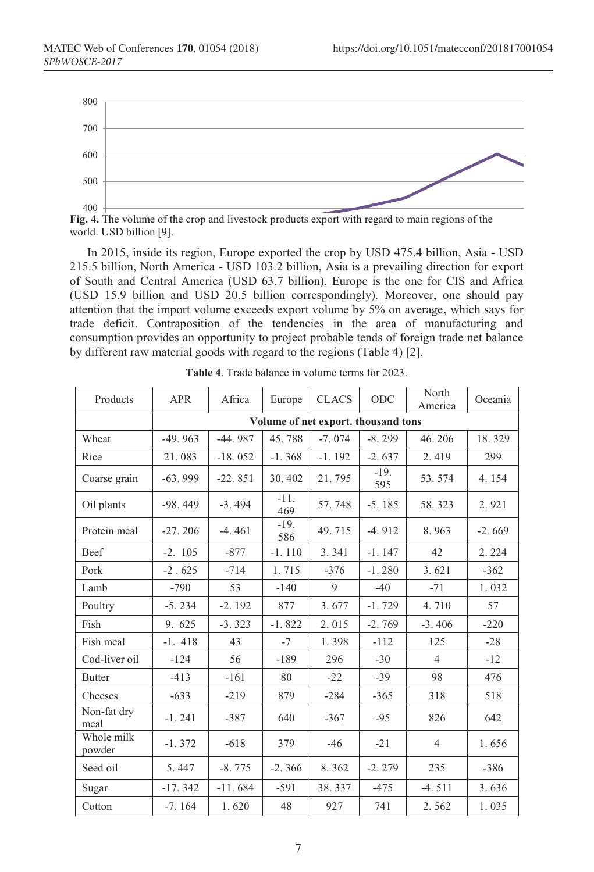

**Fig. 4.** The volume of the crop and livestock products export with regard to main regions of the world. USD billion [9].

In 2015, inside its region, Europe exported the crop by USD 475.4 billion, Asia - USD 215.5 billion, North America - USD 103.2 billion, Asia is a prevailing direction for export of South and Central America (USD 63.7 billion). Europe is the one for CIS and Africa (USD 15.9 billion and USD 20.5 billion correspondingly). Moreover, one should pay attention that the import volume exceeds export volume by 5% on average, which says for trade deficit. Contraposition of the tendencies in the area of manufacturing and consumption provides an opportunity to project probable tends of foreign trade net balance by different raw material goods with regard to the regions (Table 4) [2].

| Products             | <b>APR</b>                          | Africa    | Europe        | <b>CLACS</b> | <b>ODC</b>    | North<br>America | Oceania  |
|----------------------|-------------------------------------|-----------|---------------|--------------|---------------|------------------|----------|
|                      | Volume of net export. thousand tons |           |               |              |               |                  |          |
| Wheat                | $-49.963$                           | $-44.987$ | 45.788        | $-7.074$     | $-8.299$      | 46.206           | 18.329   |
| Rice                 | 21.083                              | $-18.052$ | $-1.368$      | $-1.192$     | $-2.637$      | 2.419            | 299      |
| Coarse grain         | $-63.999$                           | $-22.851$ | 30.402        | 21.795       | $-19.$<br>595 | 53.574           | 4.154    |
| Oil plants           | $-98.449$                           | $-3.494$  | $-11.$<br>469 | 57.748       | $-5.185$      | 58.323           | 2.921    |
| Protein meal         | $-27.206$                           | $-4.461$  | $-19.$<br>586 | 49.715       | $-4.912$      | 8.963            | $-2.669$ |
| Beef                 | $-2.105$                            | $-877$    | $-1.110$      | 3.341        | $-1.147$      | 42               | 2.224    |
| Pork                 | $-2.625$                            | $-714$    | 1.715         | $-376$       | $-1.280$      | 3.621            | $-362$   |
| Lamb                 | $-790$                              | 53        | $-140$        | 9            | $-40$         | $-71$            | 1.032    |
| Poultry              | $-5.234$                            | $-2.192$  | 877           | 3.677        | $-1.729$      | 4.710            | 57       |
| Fish                 | 9.625                               | $-3.323$  | $-1.822$      | 2.015        | $-2.769$      | $-3.406$         | $-220$   |
| Fish meal            | $-1.418$                            | 43        | $-7$          | 1.398        | $-112$        | 125              | $-28$    |
| Cod-liver oil        | $-124$                              | 56        | $-189$        | 296          | $-30$         | $\overline{4}$   | $-12$    |
| <b>Butter</b>        | $-413$                              | $-161$    | 80            | $-22$        | $-39$         | 98               | 476      |
| Cheeses              | $-633$                              | $-219$    | 879           | $-284$       | $-365$        | 318              | 518      |
| Non-fat dry<br>meal  | $-1.241$                            | $-387$    | 640           | $-367$       | $-95$         | 826              | 642      |
| Whole milk<br>powder | $-1.372$                            | $-618$    | 379           | $-46$        | $-21$         | $\overline{4}$   | 1.656    |
| Seed oil             | 5.447                               | $-8.775$  | $-2.366$      | 8.362        | $-2.279$      | 235              | $-386$   |
| Sugar                | $-17.342$                           | $-11.684$ | $-591$        | 38.337       | $-475$        | $-4.511$         | 3.636    |
| Cotton               | $-7.164$                            | 1.620     | 48            | 927          | 741           | 2.562            | 1.035    |

**Table 4**. Trade balance in volume terms for 2023.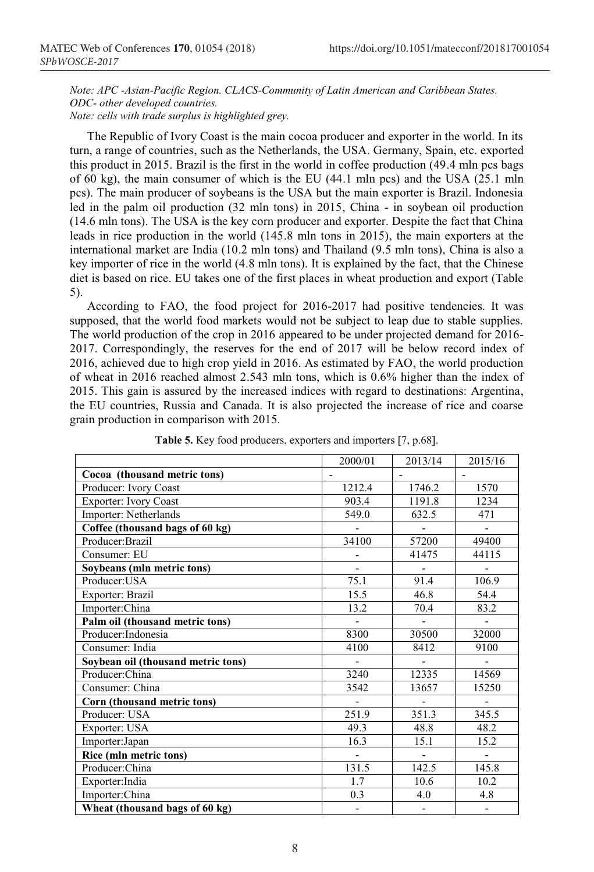*Note: APC -Asian-Pacific Region. CLACS-Community of Latin American and Caribbean States. ODC- other developed countries. Note: cells with trade surplus is highlighted grey.*

The Republic of Ivory Coast is the main cocoa producer and exporter in the world. In its turn, a range of countries, such as the Netherlands, the USA. Germany, Spain, etc. exported this product in 2015. Brazil is the first in the world in coffee production (49.4 mln pcs bags of 60 kg), the main consumer of which is the EU (44.1 mln pcs) and the USA (25.1 mln pcs). The main producer of soybeans is the USA but the main exporter is Brazil. Indonesia led in the palm oil production (32 mln tons) in 2015, China - in soybean oil production (14.6 mln tons). The USA is the key corn producer and exporter. Despite the fact that China leads in rice production in the world (145.8 mln tons in 2015), the main exporters at the international market are India (10.2 mln tons) and Thailand (9.5 mln tons), China is also a key importer of rice in the world (4.8 mln tons). It is explained by the fact, that the Chinese diet is based on rice. EU takes one of the first places in wheat production and export (Table 5).

According to FAO, the food project for 2016-2017 had positive tendencies. It was supposed, that the world food markets would not be subject to leap due to stable supplies. The world production of the crop in 2016 appeared to be under projected demand for 2016- 2017. Correspondingly, the reserves for the end of 2017 will be below record index of 2016, achieved due to high crop yield in 2016. As estimated by FAO, the world production of wheat in 2016 reached almost 2.543 mln tons, which is 0.6% higher than the index of 2015. This gain is assured by the increased indices with regard to destinations: Argentina, the EU countries, Russia and Canada. It is also projected the increase of rice and coarse grain production in comparison with 2015.

|                                    | 2000/01                  | 2013/14                  | 2015/16                  |
|------------------------------------|--------------------------|--------------------------|--------------------------|
| Cocoa (thousand metric tons)       | $\overline{a}$           | $\overline{a}$           |                          |
| Producer: Ivory Coast              | 1212.4                   | 1746.2                   | 1570                     |
| <b>Exporter:</b> Ivory Coast       | 903.4                    | 1191.8                   | 1234                     |
| Importer: Netherlands              | 549.0                    | 632.5                    | 471                      |
| Coffee (thousand bags of 60 kg)    |                          |                          |                          |
| Producer: Brazil                   | 34100                    | 57200                    | 49400                    |
| Consumer: EU                       |                          | 41475                    | 44115                    |
| Soybeans (mln metric tons)         |                          |                          | $\overline{\phantom{0}}$ |
| Producer:USA                       | 75.1                     | 91.4                     | 106.9                    |
| Exporter: Brazil                   | 15.5                     | 46.8                     | 54.4                     |
| Importer:China                     | 13.2                     | 70.4                     | 83.2                     |
| Palm oil (thousand metric tons)    |                          | $\overline{a}$           | $\overline{a}$           |
| Producer: Indonesia                | 8300                     | 30500                    | 32000                    |
| Consumer: India                    | 4100                     | 8412                     | 9100                     |
| Soybean oil (thousand metric tons) |                          |                          |                          |
| Producer:China                     | 3240                     | 12335                    | 14569                    |
| Consumer: China                    | 3542                     | 13657                    | 15250                    |
| Corn (thousand metric tons)        |                          |                          |                          |
| Producer: USA                      | 251.9                    | 351.3                    | 345.5                    |
| Exporter: USA                      | $49.\overline{3}$        | 48.8                     | 48.2                     |
| Importer: Japan                    | 16.3                     | 15.1                     | 15.2                     |
| Rice (mln metric tons)             | $\overline{a}$           | $\overline{\phantom{a}}$ | $\overline{\phantom{0}}$ |
| Producer:China                     | 131.5                    | 142.5                    | 145.8                    |
| Exporter: India                    | 1.7                      | 10.6                     | 10.2                     |
| Importer:China                     | 0.3                      | 4.0                      | 4.8                      |
| Wheat (thousand bags of 60 kg)     | $\overline{\phantom{0}}$ | $\overline{\phantom{a}}$ | $\overline{\phantom{0}}$ |

Table 5. Key food producers, exporters and importers [7, p.68].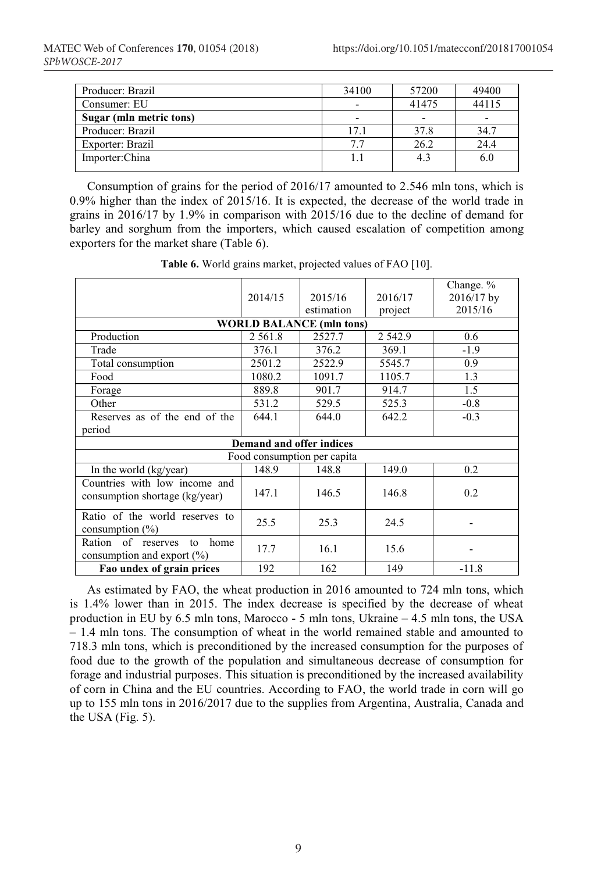| Producer: Brazil        | 34100                    | 57200 | 49400 |
|-------------------------|--------------------------|-------|-------|
| Consumer: EU            |                          | 41475 | 44115 |
| Sugar (mln metric tons) | $\overline{\phantom{0}}$ |       |       |
| Producer: Brazil        | 17.1                     | 37.8  | 34.7  |
| Exporter: Brazil        | 77                       | 26.2  | 24.4  |
| Importer:China          |                          | 4.3   | 6.0   |

Consumption of grains for the period of 2016/17 amounted to 2.546 mln tons, which is 0.9% higher than the index of 2015/16. It is expected, the decrease of the world trade in grains in 2016/17 by 1.9% in comparison with 2015/16 due to the decline of demand for barley and sorghum from the importers, which caused escalation of competition among exporters for the market share (Table 6).

|                                                                    |                                 |                                 |            | Change. %    |
|--------------------------------------------------------------------|---------------------------------|---------------------------------|------------|--------------|
|                                                                    | 2014/15                         | 2015/16                         | 2016/17    | $2016/17$ by |
|                                                                    |                                 | estimation                      | project    | 2015/16      |
|                                                                    |                                 | <b>WORLD BALANCE (mln tons)</b> |            |              |
| Production                                                         | 2 5 6 1 .8                      | 2527.7                          | 2 5 4 2 .9 | 0.6          |
| Trade                                                              | 376.1                           | 376.2                           | 369.1      | $-1.9$       |
| Total consumption                                                  | 2501.2                          | 2522.9                          | 5545.7     | 0.9          |
| Food                                                               | 1080.2                          | 1091.7                          | 1105.7     | 1.3          |
| Forage                                                             | 889.8                           | 901.7                           | 914.7      | 1.5          |
| Other                                                              | 531.2                           | 529.5                           | 525.3      | $-0.8$       |
| Reserves as of the end of the                                      | 644.1                           | 644.0                           | 642.2      | $-0.3$       |
| period                                                             |                                 |                                 |            |              |
|                                                                    | <b>Demand and offer indices</b> |                                 |            |              |
|                                                                    |                                 | Food consumption per capita     |            |              |
| In the world $(kg/year)$                                           | 148.9                           | 148.8                           | 149.0      | 0.2          |
| Countries with low income and<br>consumption shortage (kg/year)    | 147.1                           | 146.5                           | 146.8      | 0.2          |
| Ratio of the world reserves to<br>consumption $(\% )$              | 25.5                            | 25.3                            | 24.5       |              |
| Ration of reserves<br>home<br>to<br>consumption and export $(\% )$ | 17.7                            | 16.1                            | 15.6       |              |
| Fao undex of grain prices                                          | 192                             | 162                             | 149        | $-11.8$      |

**Table 6.** World grains market, projected values of FAO [10].

As estimated by FAO, the wheat production in 2016 amounted to 724 mln tons, which is 1.4% lower than in 2015. The index decrease is specified by the decrease of wheat production in EU by 6.5 mln tons, Marocco - 5 mln tons, Ukraine – 4.5 mln tons, the USA – 1.4 mln tons. The consumption of wheat in the world remained stable and amounted to 718.3 mln tons, which is preconditioned by the increased consumption for the purposes of food due to the growth of the population and simultaneous decrease of consumption for forage and industrial purposes. This situation is preconditioned by the increased availability of corn in China and the EU countries. According to FAO, the world trade in corn will go up to 155 mln tons in 2016/2017 due to the supplies from Argentina, Australia, Canada and the USA (Fig. 5).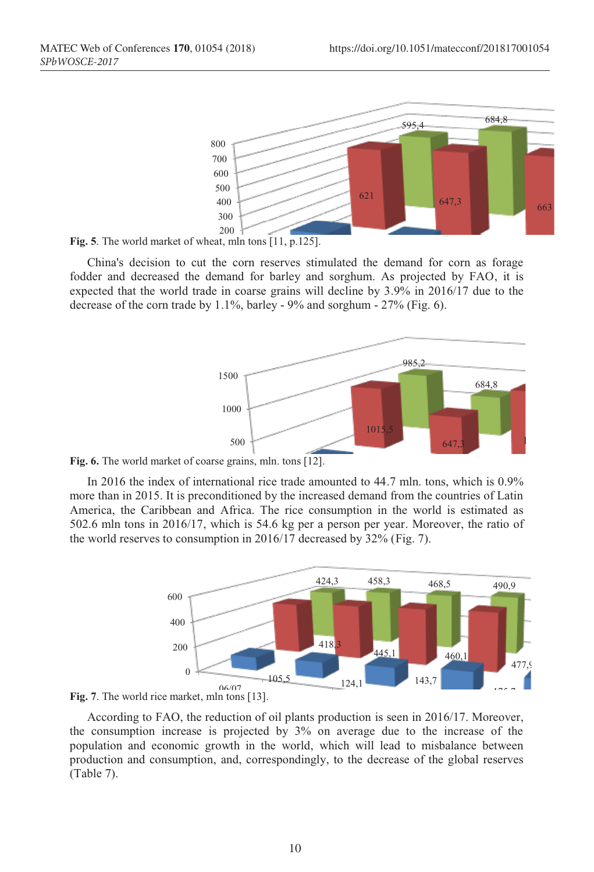

**Fig. 5**. The world market of wheat, mln tons [11, р.125].

China's decision to cut the corn reserves stimulated the demand for corn as forage fodder and decreased the demand for barley and sorghum. As projected by FAO, it is expected that the world trade in coarse grains will decline by 3.9% in 2016/17 due to the decrease of the corn trade by 1.1%, barley - 9% and sorghum - 27% (Fig. 6).



**Fig. 6.** The world market of coarse grains, mln. tons [12].

In 2016 the index of international rice trade amounted to 44.7 mln. tons, which is 0.9% more than in 2015. It is preconditioned by the increased demand from the countries of Latin America, the Caribbean and Africa. The rice consumption in the world is estimated as 502.6 mln tons in 2016/17, which is 54.6 kg per a person per year. Moreover, the ratio of the world reserves to consumption in 2016/17 decreased by 32% (Fig. 7).





According to FAO, the reduction of oil plants production is seen in 2016/17. Moreover, the consumption increase is projected by 3% on average due to the increase of the population and economic growth in the world, which will lead to misbalance between production and consumption, and, correspondingly, to the decrease of the global reserves (Table 7).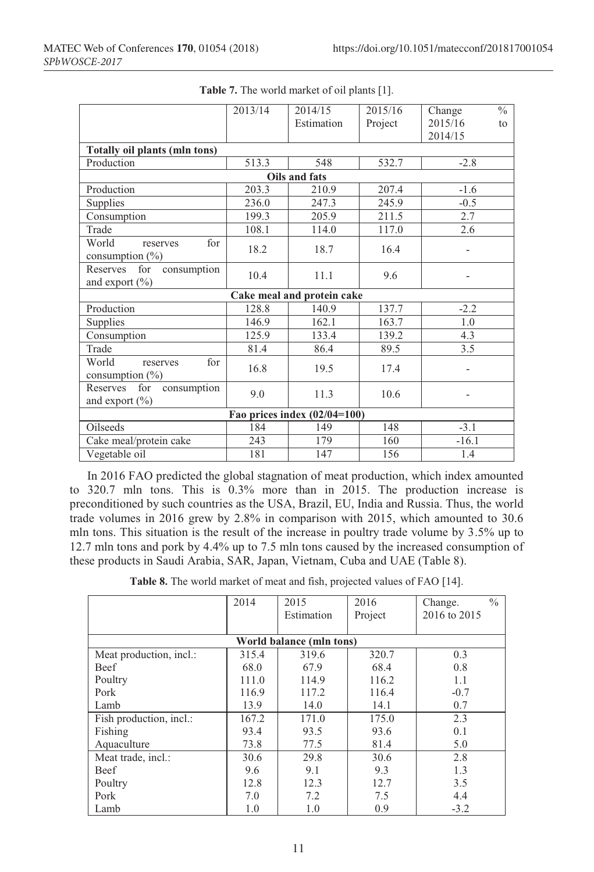|                                                   | 2013/14 | 2014/15                    | 2015/16 | $\frac{0}{0}$<br>Change |  |  |  |
|---------------------------------------------------|---------|----------------------------|---------|-------------------------|--|--|--|
|                                                   |         | Estimation                 | Project | 2015/16<br>to           |  |  |  |
|                                                   |         |                            |         | 2014/15                 |  |  |  |
| Totally oil plants (mln tons)                     |         |                            |         |                         |  |  |  |
| Production                                        | 513.3   | 548                        | 532.7   | $-2.8$                  |  |  |  |
|                                                   |         | Oils and fats              |         |                         |  |  |  |
| Production                                        | 203.3   | 210.9                      | 207.4   | $-1.6$                  |  |  |  |
| Supplies                                          | 236.0   | 247.3                      | 245.9   | $-0.5$                  |  |  |  |
| Consumption                                       | 199.3   | 205.9                      | 211.5   | 2.7                     |  |  |  |
| Trade                                             | 108.1   | 114.0                      | 117.0   | 2.6                     |  |  |  |
| for<br>World<br>reserves<br>consumption $(\% )$   | 18.2    | 18.7                       | 16.4    |                         |  |  |  |
| Reserves<br>for consumption<br>and export $(\% )$ | 10.4    | 11.1                       | 9.6     |                         |  |  |  |
|                                                   |         | Cake meal and protein cake |         |                         |  |  |  |
| Production                                        | 128.8   | 140.9                      | 137.7   | $-2.2$                  |  |  |  |
| Supplies                                          | 146.9   | 162.1                      | 163.7   | 1.0                     |  |  |  |
| Consumption                                       | 125.9   | 133.4                      | 139.2   | 4.3                     |  |  |  |
| Trade                                             | 81.4    | 86.4                       | 89.5    | 3.5                     |  |  |  |
| World<br>for<br>reserves<br>consumption $(\%)$    | 16.8    | 19.5                       | 17.4    |                         |  |  |  |
| Reserves<br>for consumption<br>and export $(\% )$ | 9.0     | 11.3                       | 10.6    |                         |  |  |  |
| Fao prices index $(02/04=100)$                    |         |                            |         |                         |  |  |  |
| Oilseeds                                          | 184     | 149                        | 148     | $-3.1$                  |  |  |  |
| Cake meal/protein cake                            | 243     | 179                        | 160     | $-16.1$                 |  |  |  |
| Vegetable oil                                     | 181     | 147                        | 156     | 1.4                     |  |  |  |

**Table 7.** The world market of oil plants [1].

In 2016 FAO predicted the global stagnation of meat production, which index amounted to 320.7 mln tons. This is 0.3% more than in 2015. The production increase is preconditioned by such countries as the USA, Brazil, EU, India and Russia. Thus, the world trade volumes in 2016 grew by 2.8% in comparison with 2015, which amounted to 30.6 mln tons. This situation is the result of the increase in poultry trade volume by 3.5% up to 12.7 mln tons and pork by 4.4% up to 7.5 mln tons caused by the increased consumption of these products in Saudi Arabia, SAR, Japan, Vietnam, Cuba and UAE (Table 8).

| <b>Table 8.</b> The world market of meat and fish, projected values of FAO [14]. |  |  |
|----------------------------------------------------------------------------------|--|--|
|----------------------------------------------------------------------------------|--|--|

|                         | 2014  | 2015<br>Estimation       | 2016<br>Project | $\frac{0}{0}$<br>Change.<br>2016 to 2015 |
|-------------------------|-------|--------------------------|-----------------|------------------------------------------|
|                         |       |                          |                 |                                          |
|                         |       | World balance (mln tons) |                 |                                          |
| Meat production, incl.: | 315.4 | 319.6                    | 320.7           | 0.3                                      |
| <b>Beef</b>             | 68.0  | 67.9                     | 68.4            | 0.8                                      |
| Poultry                 | 111.0 | 114.9                    | 116.2           | 1.1                                      |
| Pork                    | 116.9 | 117.2                    | 116.4           | $-0.7$                                   |
| Lamb                    | 13.9  | 14.0                     | 14.1            | 0.7                                      |
| Fish production, incl.: | 167.2 | 171.0                    | 175.0           | 2.3                                      |
| Fishing                 | 93.4  | 93.5                     | 93.6            | 0.1                                      |
| Aquaculture             | 73.8  | 77.5                     | 81.4            | 5.0                                      |
| Meat trade, incl.:      | 30.6  | 29.8                     | 30.6            | 2.8                                      |
| <b>Beef</b>             | 9.6   | 9.1                      | 9.3             | 1.3                                      |
| Poultry                 | 12.8  | 12.3                     | 12.7            | 3.5                                      |
| Pork                    | 7.0   | 7.2                      | 7.5             | 4.4                                      |
| Lamb                    | 1.0   | 1.0                      | 0.9             | $-3.2$                                   |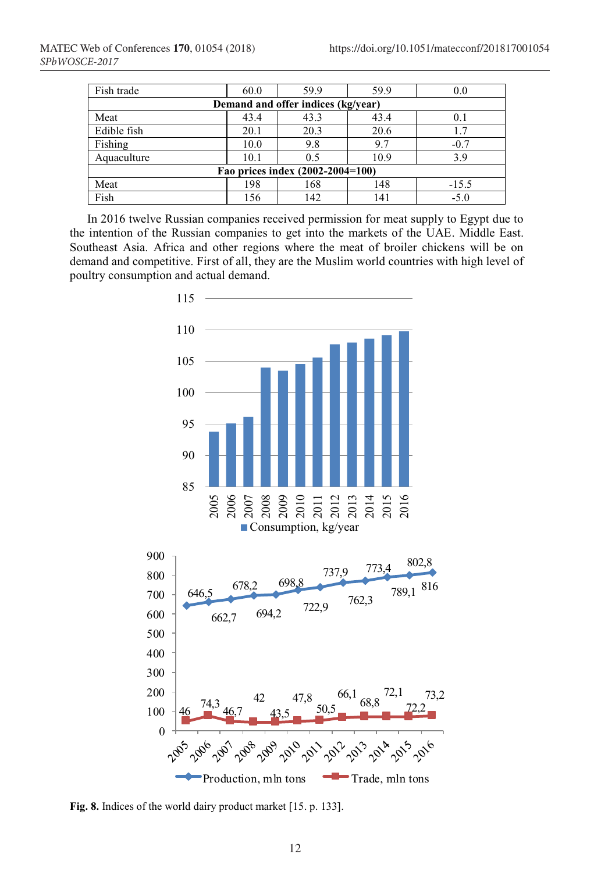| Fish trade                         | 60.0 | 59.9 | 59.9 | 0.0     |  |  |  |
|------------------------------------|------|------|------|---------|--|--|--|
| Demand and offer indices (kg/year) |      |      |      |         |  |  |  |
| Meat                               | 43.4 | 43.3 | 43.4 | 0.1     |  |  |  |
| Edible fish                        | 20.1 | 20.3 | 20.6 |         |  |  |  |
| Fishing                            | 10.0 | 9.8  | 9.7  | $-0.7$  |  |  |  |
| Aquaculture                        | 10.1 | 0.5  | 10.9 | 3.9     |  |  |  |
| Fao prices index (2002-2004=100)   |      |      |      |         |  |  |  |
| Meat                               | 198  | 168  | 148  | $-15.5$ |  |  |  |
| Fish                               | 156  | 142  | 141  | $-5.0$  |  |  |  |

In 2016 twelve Russian companies received permission for meat supply to Egypt due to the intention of the Russian companies to get into the markets of the UAE. Middle East. Southeast Asia. Africa and other regions where the meat of broiler chickens will be on demand and competitive. First of all, they are the Muslim world countries with high level of poultry consumption and actual demand.



**Fig. 8.** Indices of the world dairy product market [15. р. 133].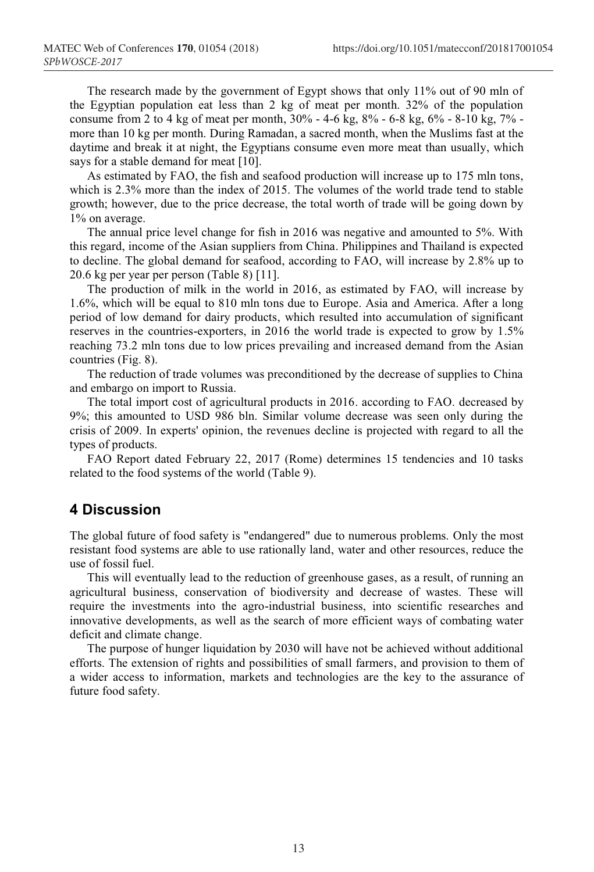The research made by the government of Egypt shows that only 11% out of 90 mln of the Egyptian population eat less than 2 kg of meat per month. 32% of the population consume from 2 to 4 kg of meat per month,  $30\% - 4-6$  kg,  $8\% - 6-8$  kg,  $6\% - 8-10$  kg,  $7\% - 6$ more than 10 kg per month. During Ramadan, a sacred month, when the Muslims fast at the daytime and break it at night, the Egyptians consume even more meat than usually, which says for a stable demand for meat [10].

As estimated by FAO, the fish and seafood production will increase up to 175 mln tons, which is 2.3% more than the index of 2015. The volumes of the world trade tend to stable growth; however, due to the price decrease, the total worth of trade will be going down by 1% on average.

The annual price level change for fish in 2016 was negative and amounted to 5%. With this regard, income of the Asian suppliers from China. Philippines and Thailand is expected to decline. The global demand for seafood, according to FAO, will increase by 2.8% up to 20.6 kg per year per person (Table 8) [11].

The production of milk in the world in 2016, as estimated by FAO, will increase by 1.6%, which will be equal to 810 mln tons due to Europe. Asia and America. After a long period of low demand for dairy products, which resulted into accumulation of significant reserves in the countries-exporters, in 2016 the world trade is expected to grow by 1.5% reaching 73.2 mln tons due to low prices prevailing and increased demand from the Asian countries (Fig. 8).

The reduction of trade volumes was preconditioned by the decrease of supplies to China and embargo on import to Russia.

The total import cost of agricultural products in 2016. according to FAO. decreased by 9%; this amounted to USD 986 bln. Similar volume decrease was seen only during the crisis of 2009. In experts' opinion, the revenues decline is projected with regard to all the types of products.

FAO Report dated February 22, 2017 (Rome) determines 15 tendencies and 10 tasks related to the food systems of the world (Table 9).

## **4 Discussion**

The global future of food safety is "endangered" due to numerous problems. Only the most resistant food systems are able to use rationally land, water and other resources, reduce the use of fossil fuel.

This will eventually lead to the reduction of greenhouse gases, as a result, of running an agricultural business, conservation of biodiversity and decrease of wastes. These will require the investments into the agro-industrial business, into scientific researches and innovative developments, as well as the search of more efficient ways of combating water deficit and climate change.

The purpose of hunger liquidation by 2030 will have not be achieved without additional efforts. The extension of rights and possibilities of small farmers, and provision to them of a wider access to information, markets and technologies are the key to the assurance of future food safety.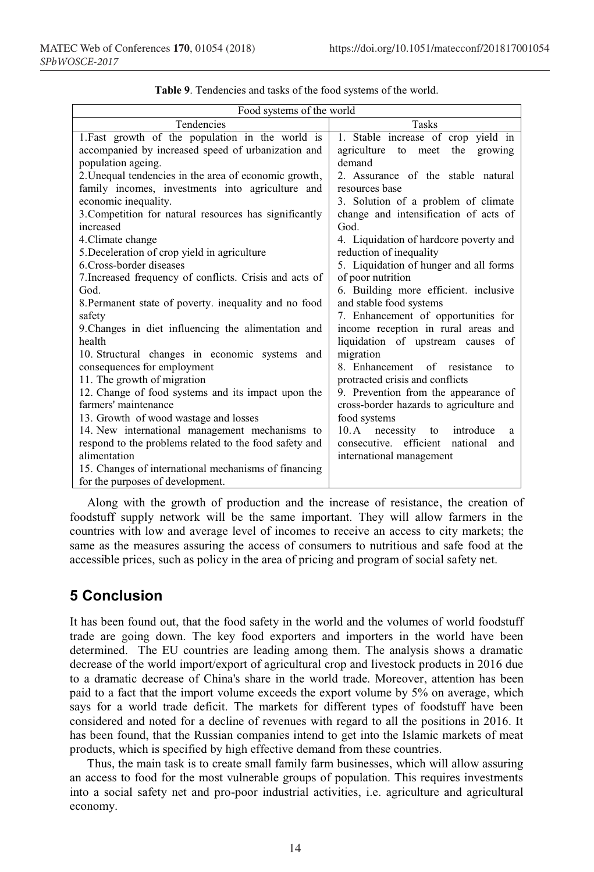| Tendencies                                                                                                                                                                                                                                                                                                                                                                                                                                                                                                                                                                                                                                                                                                                                                     |                                                                                                                                                                                                                                                                                                                                                                                                                                                                                                                                                                                                                                               |  |  |  |  |  |
|----------------------------------------------------------------------------------------------------------------------------------------------------------------------------------------------------------------------------------------------------------------------------------------------------------------------------------------------------------------------------------------------------------------------------------------------------------------------------------------------------------------------------------------------------------------------------------------------------------------------------------------------------------------------------------------------------------------------------------------------------------------|-----------------------------------------------------------------------------------------------------------------------------------------------------------------------------------------------------------------------------------------------------------------------------------------------------------------------------------------------------------------------------------------------------------------------------------------------------------------------------------------------------------------------------------------------------------------------------------------------------------------------------------------------|--|--|--|--|--|
| Food systems of the world<br>1. Fast growth of the population in the world is<br>accompanied by increased speed of urbanization and<br>population ageing.<br>2. Unequal tendencies in the area of economic growth,<br>family incomes, investments into agriculture and<br>economic inequality.<br>3. Competition for natural resources has significantly<br>increased<br>4. Climate change<br>5. Deceleration of crop yield in agriculture<br>6. Cross-border diseases<br>7. Increased frequency of conflicts. Crisis and acts of<br>God.<br>8. Permanent state of poverty, inequality and no food<br>safety<br>9. Changes in diet influencing the alimentation and<br>health<br>10. Structural changes in economic systems and<br>consequences for employment | <b>Tasks</b><br>1. Stable increase of crop yield in<br>agriculture<br>the<br>growing<br>to meet<br>demand<br>2. Assurance of the stable natural<br>resources base<br>3. Solution of a problem of climate<br>change and intensification of acts of<br>God.<br>4. Liquidation of hardcore poverty and<br>reduction of inequality<br>5. Liquidation of hunger and all forms<br>of poor nutrition<br>6. Building more efficient. inclusive<br>and stable food systems<br>7. Enhancement of opportunities for<br>income reception in rural areas and<br>liquidation of upstream causes of<br>migration<br>8. Enhancement<br>of<br>resistance<br>to |  |  |  |  |  |
| 11. The growth of migration                                                                                                                                                                                                                                                                                                                                                                                                                                                                                                                                                                                                                                                                                                                                    | protracted crisis and conflicts                                                                                                                                                                                                                                                                                                                                                                                                                                                                                                                                                                                                               |  |  |  |  |  |
| 12. Change of food systems and its impact upon the<br>farmers' maintenance                                                                                                                                                                                                                                                                                                                                                                                                                                                                                                                                                                                                                                                                                     | 9. Prevention from the appearance of<br>cross-border hazards to agriculture and                                                                                                                                                                                                                                                                                                                                                                                                                                                                                                                                                               |  |  |  |  |  |
| 13. Growth of wood wastage and losses                                                                                                                                                                                                                                                                                                                                                                                                                                                                                                                                                                                                                                                                                                                          | food systems                                                                                                                                                                                                                                                                                                                                                                                                                                                                                                                                                                                                                                  |  |  |  |  |  |
| 14. New international management mechanisms to<br>respond to the problems related to the food safety and<br>alimentation<br>15. Changes of international mechanisms of financing<br>for the purposes of development.                                                                                                                                                                                                                                                                                                                                                                                                                                                                                                                                           | 10.A<br>necessity to<br>introduce<br>a<br>efficient<br>consecutive.<br>national<br>and<br>international management                                                                                                                                                                                                                                                                                                                                                                                                                                                                                                                            |  |  |  |  |  |

**Table 9**. Tendencies and tasks of the food systems of the world.

Along with the growth of production and the increase of resistance, the creation of foodstuff supply network will be the same important. They will allow farmers in the countries with low and average level of incomes to receive an access to city markets; the same as the measures assuring the access of consumers to nutritious and safe food at the accessible prices, such as policy in the area of pricing and program of social safety net.

# **5 Conclusion**

It has been found out, that the food safety in the world and the volumes of world foodstuff trade are going down. The key food exporters and importers in the world have been determined. The EU countries are leading among them. The analysis shows a dramatic decrease of the world import/export of agricultural crop and livestock products in 2016 due to a dramatic decrease of China's share in the world trade. Moreover, attention has been paid to a fact that the import volume exceeds the export volume by 5% on average, which says for a world trade deficit. The markets for different types of foodstuff have been considered and noted for a decline of revenues with regard to all the positions in 2016. It has been found, that the Russian companies intend to get into the Islamic markets of meat products, which is specified by high effective demand from these countries.

Thus, the main task is to create small family farm businesses, which will allow assuring an access to food for the most vulnerable groups of population. This requires investments into a social safety net and pro-poor industrial activities, i.e. agriculture and agricultural economy.